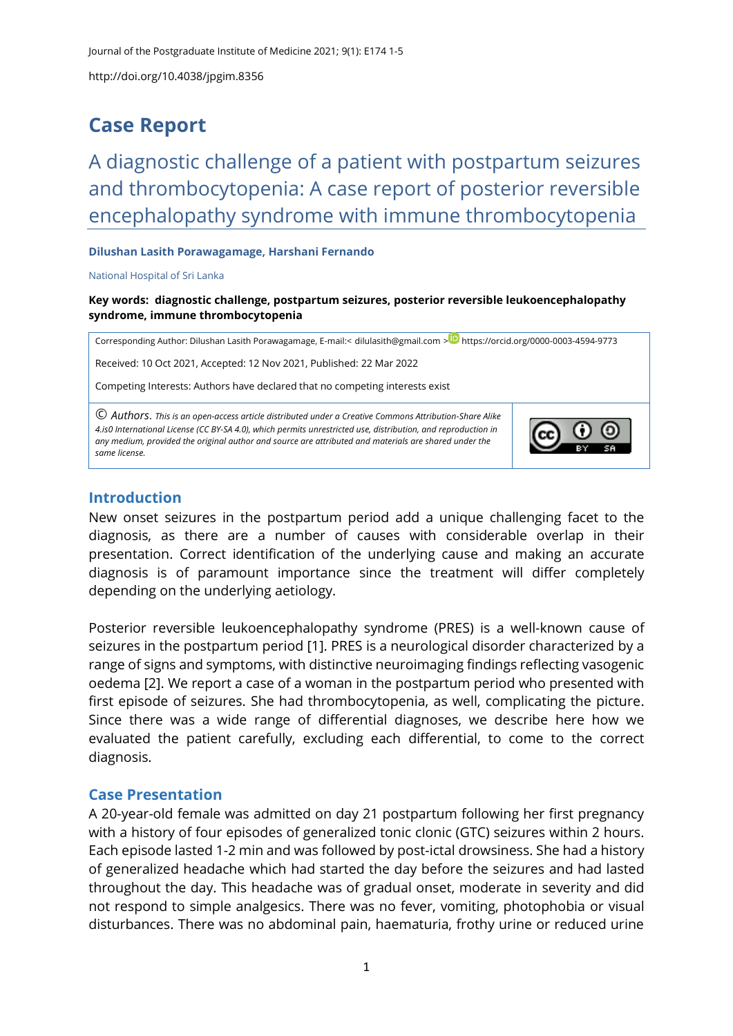# **Case Report**

A diagnostic challenge of a patient with postpartum seizures and thrombocytopenia: A case report of posterior reversible encephalopathy syndrome with immune thrombocytopenia

#### **Dilushan Lasith Porawagamage, Harshani Fernando**

#### National Hospital of Sri Lanka

**Key words: diagnostic challenge, postpartum seizures, posterior reversible leukoencephalopathy syndrome, immune thrombocytopenia**

Corresponding Author: Dilushan Lasith Porawagamage, E-mail:< [dilulasith@gmail.com](mailto:dilulasith@gmail.com) > D <https://orcid.org/0000-0003-4594-9773>

Received: 10 Oct 2021, Accepted: 12 Nov 2021, Published: 22 Mar 2022

Competing Interests: Authors have declared that no competing interests exist

© *Authors*. *This is an open-access article distributed under a [Creative Commons Attribution-Share Alike](http://creativecommons.org/licenses/by-sa/4.0/)  [4.is0 International License](http://creativecommons.org/licenses/by-sa/4.0/) (CC BY-SA 4.0), which permits unrestricted use, distribution, and reproduction in any medium, provided the original author and source are attributed and materials are shared under the same license.* 



#### **Introduction**

New onset seizures in the postpartum period add a unique challenging facet to the diagnosis, as there are a number of causes with considerable overlap in their presentation. Correct identification of the underlying cause and making an accurate diagnosis is of paramount importance since the treatment will differ completely depending on the underlying aetiology.

Posterior reversible leukoencephalopathy syndrome (PRES) is a well-known cause of seizures in the postpartum period [\[1\]](#page-4-0). PRES is a neurological disorder characterized by a range of signs and symptoms, with distinctive neuroimaging findings reflecting vasogenic oedema [\[2\]](#page-4-1). We report a case of a woman in the postpartum period who presented with first episode of seizures. She had thrombocytopenia, as well, complicating the picture. Since there was a wide range of differential diagnoses, we describe here how we evaluated the patient carefully, excluding each differential, to come to the correct diagnosis.

#### **Case Presentation**

A 20-year-old female was admitted on day 21 postpartum following her first pregnancy with a history of four episodes of generalized tonic clonic (GTC) seizures within 2 hours. Each episode lasted 1-2 min and was followed by post-ictal drowsiness. She had a history of generalized headache which had started the day before the seizures and had lasted throughout the day. This headache was of gradual onset, moderate in severity and did not respond to simple analgesics. There was no fever, vomiting, photophobia or visual disturbances. There was no abdominal pain, haematuria, frothy urine or reduced urine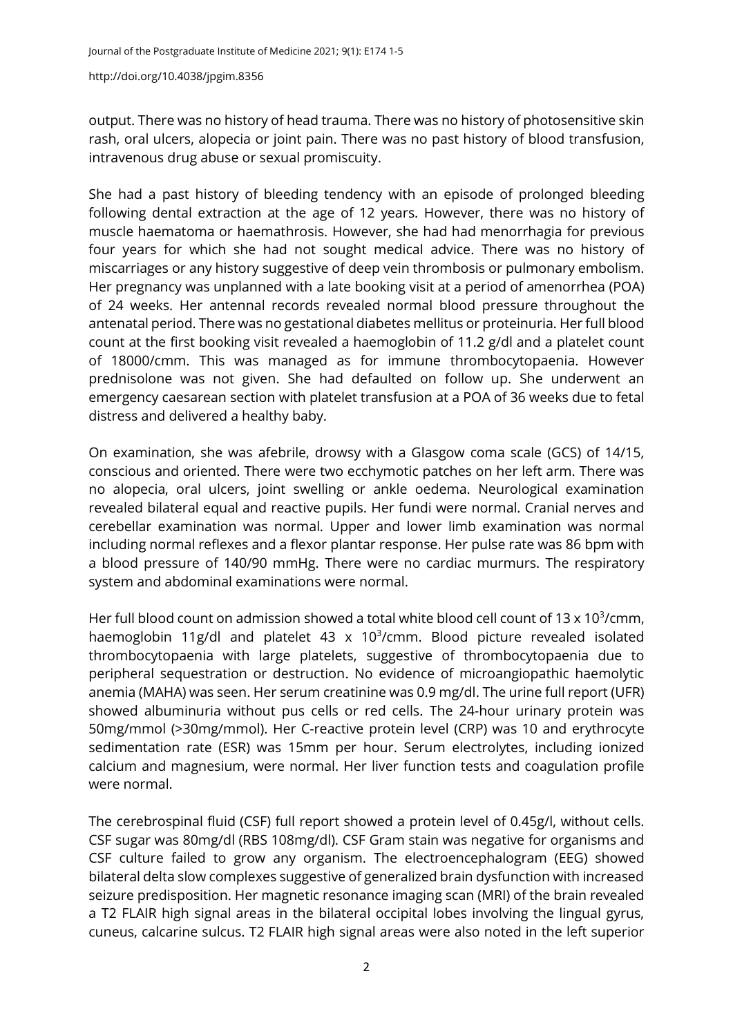output. There was no history of head trauma. There was no history of photosensitive skin rash, oral ulcers, alopecia or joint pain. There was no past history of blood transfusion, intravenous drug abuse or sexual promiscuity.

She had a past history of bleeding tendency with an episode of prolonged bleeding following dental extraction at the age of 12 years. However, there was no history of muscle haematoma or haemathrosis. However, she had had menorrhagia for previous four years for which she had not sought medical advice. There was no history of miscarriages or any history suggestive of deep vein thrombosis or pulmonary embolism. Her pregnancy was unplanned with a late booking visit at a period of amenorrhea (POA) of 24 weeks. Her antennal records revealed normal blood pressure throughout the antenatal period. There was no gestational diabetes mellitus or proteinuria. Her full blood count at the first booking visit revealed a haemoglobin of 11.2 g/dl and a platelet count of 18000/cmm. This was managed as for immune thrombocytopaenia. However prednisolone was not given. She had defaulted on follow up. She underwent an emergency caesarean section with platelet transfusion at a POA of 36 weeks due to fetal distress and delivered a healthy baby.

On examination, she was afebrile, drowsy with a Glasgow coma scale (GCS) of 14/15, conscious and oriented. There were two ecchymotic patches on her left arm. There was no alopecia, oral ulcers, joint swelling or ankle oedema. Neurological examination revealed bilateral equal and reactive pupils. Her fundi were normal. Cranial nerves and cerebellar examination was normal. Upper and lower limb examination was normal including normal reflexes and a flexor plantar response. Her pulse rate was 86 bpm with a blood pressure of 140/90 mmHg. There were no cardiac murmurs. The respiratory system and abdominal examinations were normal.

Her full blood count on admission showed a total white blood cell count of 13 x 10<sup>3</sup>/cmm, haemoglobin 11g/dl and platelet 43  $\times$  10<sup>3</sup>/cmm. Blood picture revealed isolated thrombocytopaenia with large platelets, suggestive of thrombocytopaenia due to peripheral sequestration or destruction. No evidence of microangiopathic haemolytic anemia (MAHA) was seen. Her serum creatinine was 0.9 mg/dl. The urine full report (UFR) showed albuminuria without pus cells or red cells. The 24-hour urinary protein was 50mg/mmol (>30mg/mmol). Her C-reactive protein level (CRP) was 10 and erythrocyte sedimentation rate (ESR) was 15mm per hour. Serum electrolytes, including ionized calcium and magnesium, were normal. Her liver function tests and coagulation profile were normal.

The cerebrospinal fluid (CSF) full report showed a protein level of 0.45g/l, without cells. CSF sugar was 80mg/dl (RBS 108mg/dl). CSF Gram stain was negative for organisms and CSF culture failed to grow any organism. The electroencephalogram (EEG) showed bilateral delta slow complexes suggestive of generalized brain dysfunction with increased seizure predisposition. Her magnetic resonance imaging scan (MRI) of the brain revealed a T2 FLAIR high signal areas in the bilateral occipital lobes involving the lingual gyrus, cuneus, calcarine sulcus. T2 FLAIR high signal areas were also noted in the left superior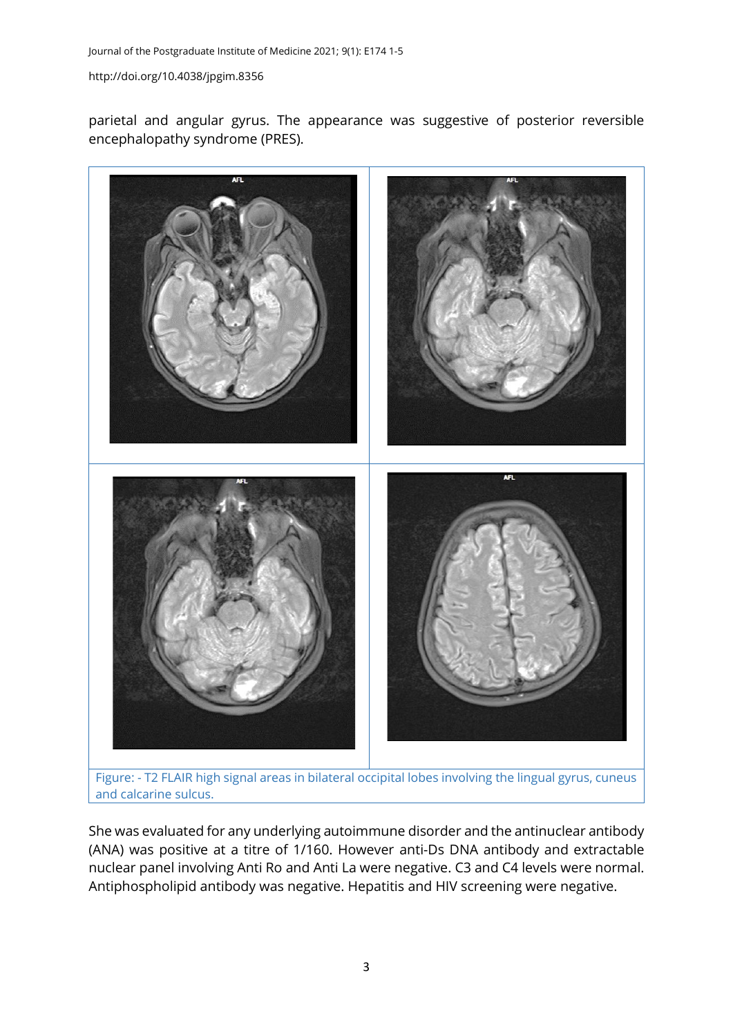parietal and angular gyrus. The appearance was suggestive of posterior reversible encephalopathy syndrome (PRES).



Figure: - T2 FLAIR high signal areas in bilateral occipital lobes involving the lingual gyrus, cuneus and calcarine sulcus.

She was evaluated for any underlying autoimmune disorder and the antinuclear antibody (ANA) was positive at a titre of 1/160. However anti-Ds DNA antibody and extractable nuclear panel involving Anti Ro and Anti La were negative. C3 and C4 levels were normal. Antiphospholipid antibody was negative. Hepatitis and HIV screening were negative.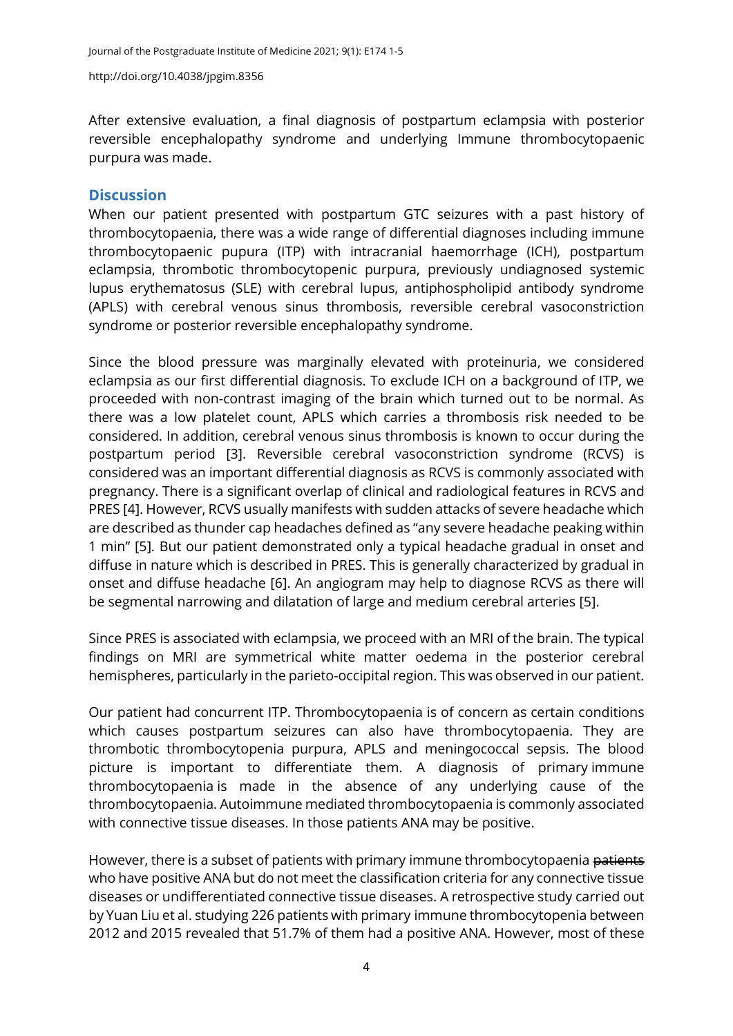After extensive evaluation, a final diagnosis of postpartum eclampsia with posterior reversible encephalopathy syndrome and underlying Immune thrombocytopaenic purpura was made.

### **Discussion**

When our patient presented with postpartum GTC seizures with a past history of thrombocytopaenia, there was a wide range of differential diagnoses including immune thrombocytopaenic pupura (ITP) with intracranial haemorrhage (ICH), postpartum eclampsia, thrombotic thrombocytopenic purpura, previously undiagnosed systemic lupus erythematosus (SLE) with cerebral lupus, antiphospholipid antibody syndrome (APLS) with cerebral venous sinus thrombosis, reversible cerebral vasoconstriction syndrome or posterior reversible encephalopathy syndrome.

Since the blood pressure was marginally elevated with proteinuria, we considered eclampsia as our first differential diagnosis. To exclude ICH on a background of ITP, we proceeded with non-contrast imaging of the brain which turned out to be normal. As there was a low platelet count, APLS which carries a thrombosis risk needed to be considered. In addition, cerebral venous sinus thrombosis is known to occur during the postpartum period [\[3\]](#page-4-2). Reversible cerebral vasoconstriction syndrome (RCVS) is considered was an important differential diagnosis as RCVS is commonly associated with pregnancy. There is a significant overlap of clinical and radiological features in RCVS and PRES [\[4\]](#page-4-3). However, RCVS usually manifests with sudden attacks of severe headache which are described as thunder cap headaches defined as "any severe headache peaking within 1 min" [\[5\]](#page-4-4). But our patient demonstrated only a typical headache gradual in onset and diffuse in nature which is described in PRES. This is generally characterized by gradual in onset and diffuse headache [\[6\]](#page-4-5). An angiogram may help to diagnose RCVS as there will be segmental narrowing and dilatation of large and medium cerebral arteries [\[5\]](#page-4-4).

Since PRES is associated with eclampsia, we proceed with an MRI of the brain. The typical findings on MRI are symmetrical white matter oedema in the posterior cerebral hemispheres, particularly in the parieto-occipital region. This was observed in our patient.

Our patient had concurrent ITP. Thrombocytopaenia is of concern as certain conditions which causes postpartum seizures can also have thrombocytopaenia. They are thrombotic thrombocytopenia purpura, APLS and meningococcal sepsis. The blood picture is important to differentiate them. A diagnosis of primary immune thrombocytopaenia is made in the absence of any underlying cause of the thrombocytopaenia. Autoimmune mediated thrombocytopaenia is commonly associated with connective tissue diseases. In those patients ANA may be positive.

However, there is a subset of patients with primary immune thrombocytopaenia patients who have positive ANA but do not meet the classification criteria for any connective tissue diseases or undifferentiated connective tissue diseases. A retrospective study carried out by Yuan Liu et al. studying 226 patients with primary immune thrombocytopenia between 2012 and 2015 revealed that 51.7% of them had a positive ANA. However, most of these